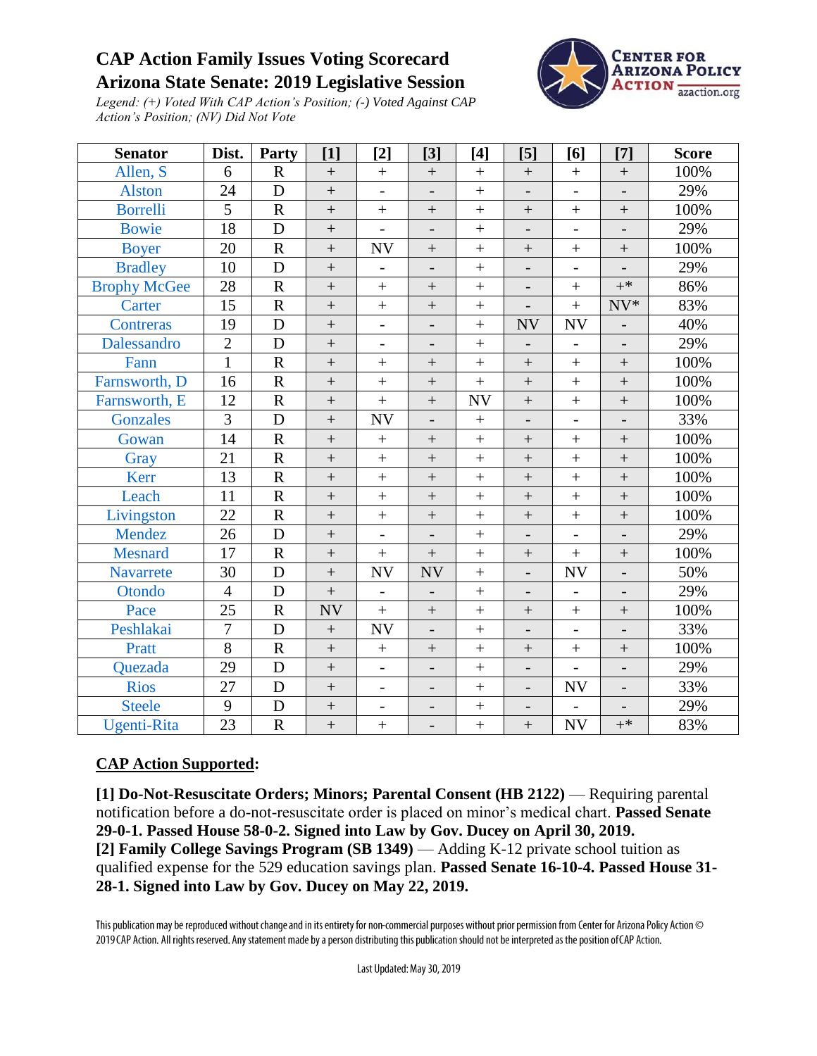## **CAP Action Family Issues Voting Scorecard Arizona State Senate: 2019 Legislative Session**



*Legend: (+) Voted With CAP Action's Position; (-) Voted Against CAP Action's Position; (NV) Did Not Vote*

| <b>Senator</b>      | Dist.           | Party                   | [1]               | $[2]$                    | $[3]$                    | $[4]$             | $[5]$                    | [6]                      | $[7]$                    | <b>Score</b> |
|---------------------|-----------------|-------------------------|-------------------|--------------------------|--------------------------|-------------------|--------------------------|--------------------------|--------------------------|--------------|
| Allen, S            | 6               | $\mathbf R$             | $+$               | $+$                      |                          |                   |                          | $\boldsymbol{+}$         | $\boldsymbol{+}$         | 100%         |
| <b>Alston</b>       | 24              | D                       | $+$               |                          | $\overline{\phantom{a}}$ | $\ddot{}$         | $\overline{\phantom{0}}$ | $\overline{\phantom{0}}$ |                          | 29%          |
| <b>Borrelli</b>     | $\overline{5}$  | $\mathbf R$             | $\boldsymbol{+}$  | $\! + \!$                | $\boldsymbol{+}$         | $\! + \!$         | $\boldsymbol{+}$         | $\boldsymbol{+}$         | $\boldsymbol{+}$         | 100%         |
| <b>Bowie</b>        | 18              | D                       | $^{+}$            | $\overline{a}$           | $\overline{\phantom{0}}$ | $\qquad \qquad +$ | $\overline{\phantom{0}}$ | $\overline{\phantom{m}}$ | $\overline{\phantom{0}}$ | 29%          |
| <b>Boyer</b>        | 20              | $\mathbf R$             | $\ddot{}$         | $\ensuremath{\text{NV}}$ | $\! +$                   | $\ddot{}$         | $^{+}$                   | $\ddot{}$                | $\boldsymbol{+}$         | 100%         |
| <b>Bradley</b>      | 10              | D                       | $\boldsymbol{+}$  | $\overline{\phantom{a}}$ | $\overline{\phantom{a}}$ | $\ddot{}$         | $\frac{1}{2}$            | $\overline{\phantom{a}}$ |                          | 29%          |
| <b>Brophy McGee</b> | 28              | ${\bf R}$               | $\boldsymbol{+}$  | $^{+}$                   | $\boldsymbol{+}$         | $\boldsymbol{+}$  | $\overline{\phantom{0}}$ | $\boldsymbol{+}$         | $+^*$                    | 86%          |
| Carter              | 15              | ${\bf R}$               | $\qquad \qquad +$ | $\ddot{}$                | $\boldsymbol{+}$         | $\overline{+}$    | $\overline{\phantom{a}}$ | $\boldsymbol{+}$         | $NV*$                    | 83%          |
| Contreras           | 19              | D                       | $\ddot{}$         |                          |                          | $\ddot{}$         | <b>NV</b>                | <b>NV</b>                | $\overline{a}$           | 40%          |
| Dalessandro         | $\overline{2}$  | D                       | $\boldsymbol{+}$  | $\overline{\phantom{0}}$ | $\overline{\phantom{a}}$ | $\boldsymbol{+}$  | $\overline{\phantom{0}}$ | $\overline{\phantom{a}}$ | $\overline{\phantom{0}}$ | 29%          |
| Fann                | $\mathbf{1}$    | $\mathbf R$             | $^{+}$            | $+$                      | $+$                      | $^{+}$            | $\ddot{}$                | $^{+}$                   | $\qquad \qquad +$        | 100%         |
| Farnsworth, D       | 16              | $\mathbf R$             | $\ddot{}$         | $\ddot{}$                | $\boldsymbol{+}$         | $\ddot{}$         | $\ddot{}$                | $\ddot{}$                | $\boldsymbol{+}$         | 100%         |
| Farnsworth, E       | 12              | $\overline{\mathrm{R}}$ | $\ddot{}$         | $\ddot{}$                | $\qquad \qquad +$        | <b>NV</b>         | $\ddot{}$                | $\! + \!$                | $\boldsymbol{+}$         | 100%         |
| <b>Gonzales</b>     | $\overline{3}$  | D                       | $^{+}$            | <b>NV</b>                | $\overline{\phantom{0}}$ | $\boldsymbol{+}$  | $\overline{a}$           | $\overline{a}$           |                          | 33%          |
| Gowan               | 14              | $\mathbf R$             | $\boldsymbol{+}$  | $^{+}$                   |                          | $\ddot{}$         | $\qquad \qquad +$        | $\qquad \qquad +$        | $\boldsymbol{+}$         | 100%         |
| Gray                | 21              | $\mathbf R$             | $^{+}$            | $^{+}$                   | $\qquad \qquad +$        | $\ddot{}$         | $\qquad \qquad +$        | $\qquad \qquad +$        | $\qquad \qquad +$        | 100%         |
| Kerr                | 13              | $\overline{\mathrm{R}}$ | $\boldsymbol{+}$  | $\ddot{}$                | $\qquad \qquad +$        | $\overline{+}$    | $\ddot{}$                | $\ddot{}$                | $\boldsymbol{+}$         | 100%         |
| Leach               | 11              | $\overline{R}$          | $\ddot{}$         | $\ddot{}$                | $\ddot{}$                | $\! + \!$         | $\ddot{}$                | $\ddot{}$                | $\! + \!$                | 100%         |
| Livingston          | 22              | $\mathbf R$             | $\ddot{}$         | $\ddot{}$                | $\boldsymbol{+}$         | $\overline{+}$    | $^{+}$                   | $^{+}$                   | $\boldsymbol{+}$         | 100%         |
| Mendez              | 26              | $\mathbf D$             | $+$               | $\overline{\phantom{0}}$ | $\overline{\phantom{a}}$ | $\ddot{}$         | $\overline{\phantom{a}}$ | $\overline{\phantom{a}}$ | $\overline{\phantom{0}}$ | 29%          |
| <b>Mesnard</b>      | 17              | ${\bf R}$               | $^{+}$            | $^{+}$                   | $\boldsymbol{+}$         | $\ddot{}$         | $\qquad \qquad +$        | $\boldsymbol{+}$         | $\boldsymbol{+}$         | 100%         |
| Navarrete           | 30              | $\mathbf D$             | $\ddot{}$         | <b>NV</b>                | <b>NV</b>                | $\ddot{}$         | $\overline{a}$           | <b>NV</b>                | $\overline{\phantom{0}}$ | 50%          |
| Otondo              | $\overline{4}$  | D                       | $^{+}$            | $\overline{\phantom{0}}$ | $\overline{\phantom{m}}$ | $\ddot{}$         | $\overline{\phantom{0}}$ | $\overline{a}$           | $\overline{\phantom{0}}$ | 29%          |
| Pace                | 25              | $\mathbf R$             | <b>NV</b>         | $^{+}$                   |                          | $\ddot{}$         | $\boldsymbol{+}$         | $\boldsymbol{+}$         | $\boldsymbol{+}$         | 100%         |
| Peshlakai           | $\overline{7}$  | $\mathbf D$             |                   | <b>NV</b>                | $\overline{\phantom{m}}$ | $\ddot{}$         | $\overline{\phantom{0}}$ | $\overline{\phantom{a}}$ |                          | 33%          |
| Pratt               | $\overline{8}$  | ${\bf R}$               | $\ddot{}$         | $\boldsymbol{+}$         | $\qquad \qquad +$        | $\ddot{}$         | $^{+}$                   | $\ddot{}$                | $\boldsymbol{+}$         | 100%         |
| Quezada             | 29              | D                       | $\ddot{}$         | $\overline{\phantom{0}}$ | $\overline{\phantom{a}}$ | $\overline{+}$    | $\overline{a}$           | $\overline{a}$           | $\overline{\phantom{a}}$ | 29%          |
| <b>Rios</b>         | 27              | D                       | $^{+}$            | $\overline{\phantom{0}}$ | $\overline{\phantom{a}}$ | $\ddot{}$         | $\overline{a}$           | <b>NV</b>                |                          | 33%          |
| <b>Steele</b>       | 9               | D                       | $\boldsymbol{+}$  | $\overline{\phantom{0}}$ | $\overline{\phantom{a}}$ | $+$               | $\qquad \qquad -$        |                          |                          | 29%          |
| <b>Ugenti-Rita</b>  | $\overline{23}$ | $\overline{R}$          | $\ddot{}$         | $^{+}$                   | $\overline{\phantom{m}}$ | $\ddot{}$         | $\boldsymbol{+}$         | <b>NV</b>                | $+^*$                    | 83%          |

## **CAP Action Supported:**

**[1] Do-Not-Resuscitate Orders; Minors; Parental Consent (HB 2122)** — Requiring parental notification before a do-not-resuscitate order is placed on minor's medical chart. **Passed Senate 29-0-1. Passed House 58-0-2. Signed into Law by Gov. Ducey on April 30, 2019. [2] Family College Savings Program (SB 1349)** — Adding K-12 private school tuition as qualified expense for the 529 education savings plan. **Passed Senate 16-10-4. Passed House 31- 28-1. Signed into Law by Gov. Ducey on May 22, 2019.**

This publication may be reproduced without change and in its entirety for non-commercial purposes without prior permission from Center for Arizona Policy Action © 2019 CAP Action. All rights reserved. Any statement made by a person distributing this publication should not be interpreted as the position of CAP Action.